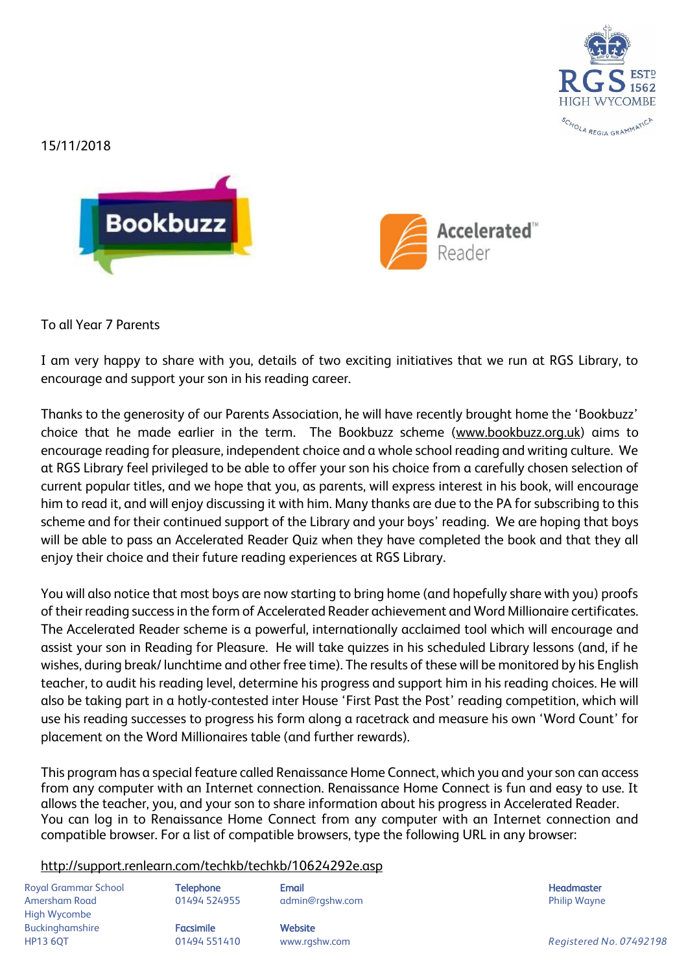

15/11/2018





To all Year 7 Parents

I am very happy to share with you, details of two exciting initiatives that we run at RGS Library, to encourage and support your son in his reading career.

Thanks to the generosity of our Parents Association, he will have recently brought home the 'Bookbuzz' choice that he made earlier in the term. The Bookbuzz scheme [\(www.bookbuzz.org.uk\)](http://www.bookbuzz.org.uk/) aims to encourage reading for pleasure, independent choice and a whole school reading and writing culture. We at RGS Library feel privileged to be able to offer your son his choice from a carefully chosen selection of current popular titles, and we hope that you, as parents, will express interest in his book, will encourage him to read it, and will enjoy discussing it with him. Many thanks are due to the PA for subscribing to this scheme and for their continued support of the Library and your boys' reading. We are hoping that boys will be able to pass an Accelerated Reader Quiz when they have completed the book and that they all enjoy their choice and their future reading experiences at RGS Library.

You will also notice that most boys are now starting to bring home (and hopefully share with you) proofs of their reading success in the form of Accelerated Reader achievement and Word Millionaire certificates. The Accelerated Reader scheme is a powerful, internationally acclaimed tool which will encourage and assist your son in Reading for Pleasure. He will take quizzes in his scheduled Library lessons (and, if he wishes, during break/ lunchtime and other free time). The results of these will be monitored by his English teacher, to audit his reading level, determine his progress and support him in his reading choices. He will also be taking part in a hotly-contested inter House 'First Past the Post' reading competition, which will use his reading successes to progress his form along a racetrack and measure his own 'Word Count' for placement on the Word Millionaires table (and further rewards).

This program has a special feature called Renaissance Home Connect, which you and your son can access from any computer with an Internet connection. Renaissance Home Connect is fun and easy to use. It allows the teacher, you, and your son to share information about his progress in Accelerated Reader. You can log in to Renaissance Home Connect from any computer with an Internet connection and compatible browser. For a list of compatible browsers, type the following URL in any browser:

## <http://support.renlearn.com/techkb/techkb/10624292e.asp>

Royal Grammar School **Telephone Email Headmaster Email Headmaster** Headmaster **Headmaster** Amersham Road **8. Community 1948 124955** admin@rgshw.com **Community Community Philip Wayne** High Wycombe Buckinghamshire **Facsimile Facsimile** Website

HP13 6QT 01494 551410 www.rgshw.com *Registered No. 07492198*